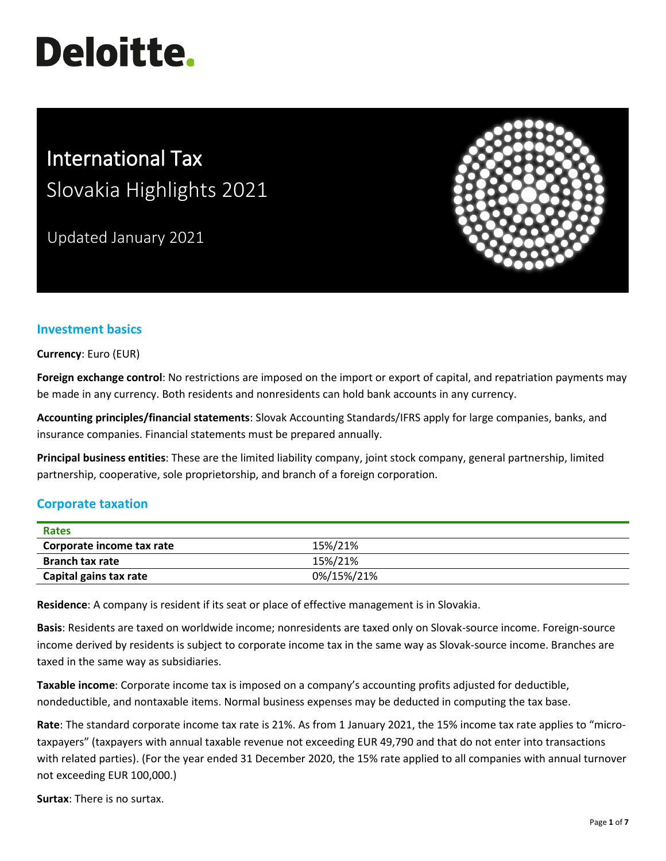# **Deloitte.**

# International Tax Slovakia Highlights 2021

Updated January 2021



# **Investment basics**

**Currency**: Euro (EUR)

**Foreign exchange control**: No restrictions are imposed on the import or export of capital, and repatriation payments may be made in any currency. Both residents and nonresidents can hold bank accounts in any currency.

**Accounting principles/financial statements**: Slovak Accounting Standards/IFRS apply for large companies, banks, and insurance companies. Financial statements must be prepared annually.

**Principal business entities**: These are the limited liability company, joint stock company, general partnership, limited partnership, cooperative, sole proprietorship, and branch of a foreign corporation.

## **Corporate taxation**

| Rates                     |            |
|---------------------------|------------|
| Corporate income tax rate | 15%/21%    |
| <b>Branch tax rate</b>    | 15%/21%    |
| Capital gains tax rate    | 0%/15%/21% |

**Residence**: A company is resident if its seat or place of effective management is in Slovakia.

**Basis**: Residents are taxed on worldwide income; nonresidents are taxed only on Slovak-source income. Foreign-source income derived by residents is subject to corporate income tax in the same way as Slovak-source income. Branches are taxed in the same way as subsidiaries.

**Taxable income**: Corporate income tax is imposed on a company's accounting profits adjusted for deductible, nondeductible, and nontaxable items. Normal business expenses may be deducted in computing the tax base.

**Rate**: The standard corporate income tax rate is 21%. As from 1 January 2021, the 15% income tax rate applies to "microtaxpayers" (taxpayers with annual taxable revenue not exceeding EUR 49,790 and that do not enter into transactions with related parties). (For the year ended 31 December 2020, the 15% rate applied to all companies with annual turnover not exceeding EUR 100,000.)

**Surtax**: There is no surtax.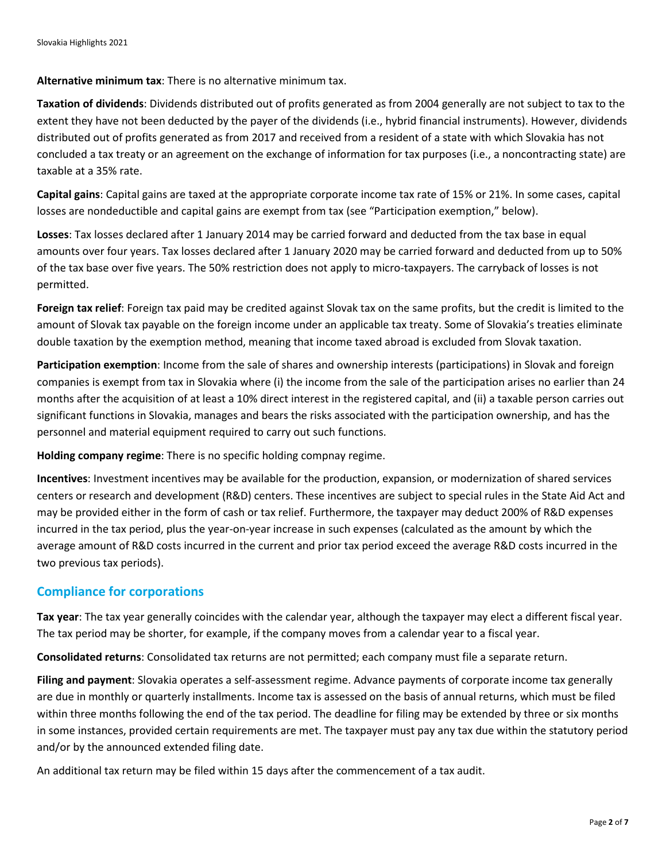**Alternative minimum tax**: There is no alternative minimum tax.

**Taxation of dividends**: Dividends distributed out of profits generated as from 2004 generally are not subject to tax to the extent they have not been deducted by the payer of the dividends (i.e., hybrid financial instruments). However, dividends distributed out of profits generated as from 2017 and received from a resident of a state with which Slovakia has not concluded a tax treaty or an agreement on the exchange of information for tax purposes (i.e., a noncontracting state) are taxable at a 35% rate.

**Capital gains**: Capital gains are taxed at the appropriate corporate income tax rate of 15% or 21%. In some cases, capital losses are nondeductible and capital gains are exempt from tax (see "Participation exemption," below).

**Losses**: Tax losses declared after 1 January 2014 may be carried forward and deducted from the tax base in equal amounts over four years. Tax losses declared after 1 January 2020 may be carried forward and deducted from up to 50% of the tax base over five years. The 50% restriction does not apply to micro-taxpayers. The carryback of losses is not permitted.

**Foreign tax relief**: Foreign tax paid may be credited against Slovak tax on the same profits, but the credit is limited to the amount of Slovak tax payable on the foreign income under an applicable tax treaty. Some of Slovakia's treaties eliminate double taxation by the exemption method, meaning that income taxed abroad is excluded from Slovak taxation.

**Participation exemption**: Income from the sale of shares and ownership interests (participations) in Slovak and foreign companies is exempt from tax in Slovakia where (i) the income from the sale of the participation arises no earlier than 24 months after the acquisition of at least a 10% direct interest in the registered capital, and (ii) a taxable person carries out significant functions in Slovakia, manages and bears the risks associated with the participation ownership, and has the personnel and material equipment required to carry out such functions.

**Holding company regime**: There is no specific holding compnay regime.

**Incentives**: Investment incentives may be available for the production, expansion, or modernization of shared services centers or research and development (R&D) centers. These incentives are subject to special rules in the State Aid Act and may be provided either in the form of cash or tax relief. Furthermore, the taxpayer may deduct 200% of R&D expenses incurred in the tax period, plus the year-on-year increase in such expenses (calculated as the amount by which the average amount of R&D costs incurred in the current and prior tax period exceed the average R&D costs incurred in the two previous tax periods).

#### **Compliance for corporations**

**Tax year**: The tax year generally coincides with the calendar year, although the taxpayer may elect a different fiscal year. The tax period may be shorter, for example, if the company moves from a calendar year to a fiscal year.

**Consolidated returns**: Consolidated tax returns are not permitted; each company must file a separate return.

**Filing and payment**: Slovakia operates a self-assessment regime. Advance payments of corporate income tax generally are due in monthly or quarterly installments. Income tax is assessed on the basis of annual returns, which must be filed within three months following the end of the tax period. The deadline for filing may be extended by three or six months in some instances, provided certain requirements are met. The taxpayer must pay any tax due within the statutory period and/or by the announced extended filing date.

An additional tax return may be filed within 15 days after the commencement of a tax audit.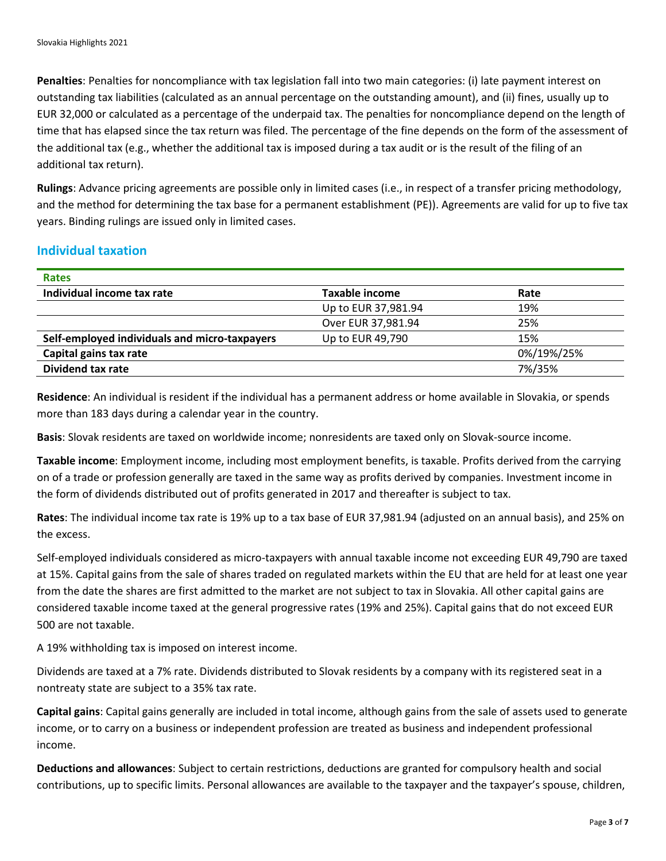**Penalties**: Penalties for noncompliance with tax legislation fall into two main categories: (i) late payment interest on outstanding tax liabilities (calculated as an annual percentage on the outstanding amount), and (ii) fines, usually up to EUR 32,000 or calculated as a percentage of the underpaid tax. The penalties for noncompliance depend on the length of time that has elapsed since the tax return was filed. The percentage of the fine depends on the form of the assessment of the additional tax (e.g., whether the additional tax is imposed during a tax audit or is the result of the filing of an additional tax return).

**Rulings**: Advance pricing agreements are possible only in limited cases (i.e., in respect of a transfer pricing methodology, and the method for determining the tax base for a permanent establishment (PE)). Agreements are valid for up to five tax years. Binding rulings are issued only in limited cases.

#### **Individual taxation**

| <b>Rates</b>                                  |                     |            |
|-----------------------------------------------|---------------------|------------|
| Individual income tax rate                    | Taxable income      | Rate       |
|                                               | Up to EUR 37,981.94 | 19%        |
|                                               | Over EUR 37,981.94  | 25%        |
| Self-employed individuals and micro-taxpayers | Up to EUR 49,790    | 15%        |
| Capital gains tax rate                        |                     | 0%/19%/25% |
| Dividend tax rate                             |                     | 7%/35%     |

**Residence**: An individual is resident if the individual has a permanent address or home available in Slovakia, or spends more than 183 days during a calendar year in the country.

**Basis**: Slovak residents are taxed on worldwide income; nonresidents are taxed only on Slovak-source income.

**Taxable income**: Employment income, including most employment benefits, is taxable. Profits derived from the carrying on of a trade or profession generally are taxed in the same way as profits derived by companies. Investment income in the form of dividends distributed out of profits generated in 2017 and thereafter is subject to tax.

**Rates**: The individual income tax rate is 19% up to a tax base of EUR 37,981.94 (adjusted on an annual basis), and 25% on the excess.

Self-employed individuals considered as micro-taxpayers with annual taxable income not exceeding EUR 49,790 are taxed at 15%. Capital gains from the sale of shares traded on regulated markets within the EU that are held for at least one year from the date the shares are first admitted to the market are not subject to tax in Slovakia. All other capital gains are considered taxable income taxed at the general progressive rates (19% and 25%). Capital gains that do not exceed EUR 500 are not taxable.

A 19% withholding tax is imposed on interest income.

Dividends are taxed at a 7% rate. Dividends distributed to Slovak residents by a company with its registered seat in a nontreaty state are subject to a 35% tax rate.

**Capital gains**: Capital gains generally are included in total income, although gains from the sale of assets used to generate income, or to carry on a business or independent profession are treated as business and independent professional income.

**Deductions and allowances**: Subject to certain restrictions, deductions are granted for compulsory health and social contributions, up to specific limits. Personal allowances are available to the taxpayer and the taxpayer's spouse, children,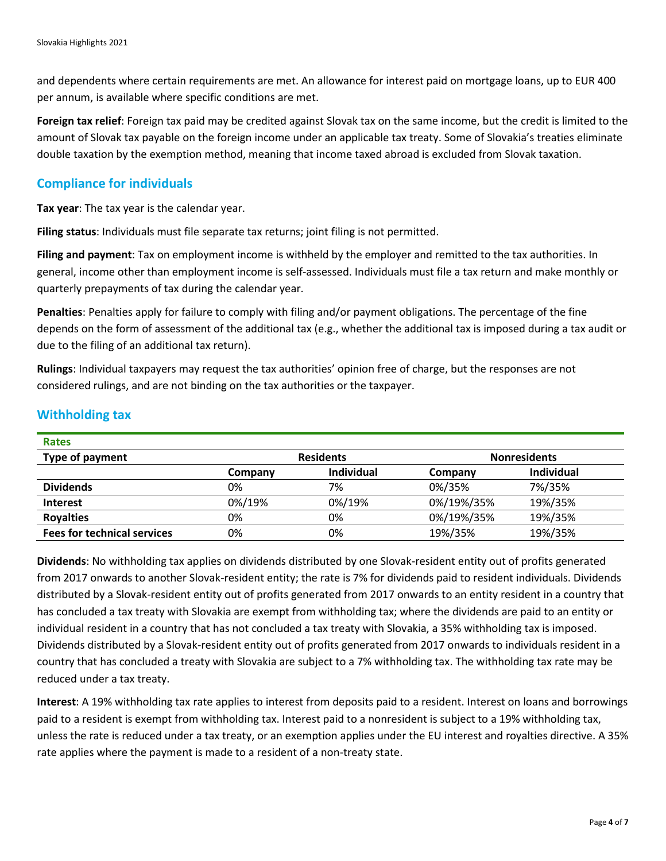and dependents where certain requirements are met. An allowance for interest paid on mortgage loans, up to EUR 400 per annum, is available where specific conditions are met.

**Foreign tax relief**: Foreign tax paid may be credited against Slovak tax on the same income, but the credit is limited to the amount of Slovak tax payable on the foreign income under an applicable tax treaty. Some of Slovakia's treaties eliminate double taxation by the exemption method, meaning that income taxed abroad is excluded from Slovak taxation.

#### **Compliance for individuals**

**Tax year**: The tax year is the calendar year.

**Filing status**: Individuals must file separate tax returns; joint filing is not permitted.

**Filing and payment**: Tax on employment income is withheld by the employer and remitted to the tax authorities. In general, income other than employment income is self-assessed. Individuals must file a tax return and make monthly or quarterly prepayments of tax during the calendar year.

**Penalties**: Penalties apply for failure to comply with filing and/or payment obligations. The percentage of the fine depends on the form of assessment of the additional tax (e.g., whether the additional tax is imposed during a tax audit or due to the filing of an additional tax return).

**Rulings**: Individual taxpayers may request the tax authorities' opinion free of charge, but the responses are not considered rulings, and are not binding on the tax authorities or the taxpayer.

| <b>Rates</b>                       |                  |                   |                     |            |
|------------------------------------|------------------|-------------------|---------------------|------------|
| Type of payment                    | <b>Residents</b> |                   | <b>Nonresidents</b> |            |
|                                    | Company          | <b>Individual</b> | Company             | Individual |
| <b>Dividends</b>                   | 0%               | 7%                | 0%/35%              | 7%/35%     |
| <b>Interest</b>                    | 0%/19%           | 0%/19%            | 0%/19%/35%          | 19%/35%    |
| <b>Royalties</b>                   | 0%               | 0%                | 0%/19%/35%          | 19%/35%    |
| <b>Fees for technical services</b> | 0%               | 0%                | 19%/35%             | 19%/35%    |

#### **Withholding tax**

**Dividends**: No withholding tax applies on dividends distributed by one Slovak-resident entity out of profits generated from 2017 onwards to another Slovak-resident entity; the rate is 7% for dividends paid to resident individuals. Dividends distributed by a Slovak-resident entity out of profits generated from 2017 onwards to an entity resident in a country that has concluded a tax treaty with Slovakia are exempt from withholding tax; where the dividends are paid to an entity or individual resident in a country that has not concluded a tax treaty with Slovakia, a 35% withholding tax is imposed. Dividends distributed by a Slovak-resident entity out of profits generated from 2017 onwards to individuals resident in a country that has concluded a treaty with Slovakia are subject to a 7% withholding tax. The withholding tax rate may be reduced under a tax treaty.

**Interest**: A 19% withholding tax rate applies to interest from deposits paid to a resident. Interest on loans and borrowings paid to a resident is exempt from withholding tax. Interest paid to a nonresident is subject to a 19% withholding tax, unless the rate is reduced under a tax treaty, or an exemption applies under the EU interest and royalties directive. A 35% rate applies where the payment is made to a resident of a non-treaty state.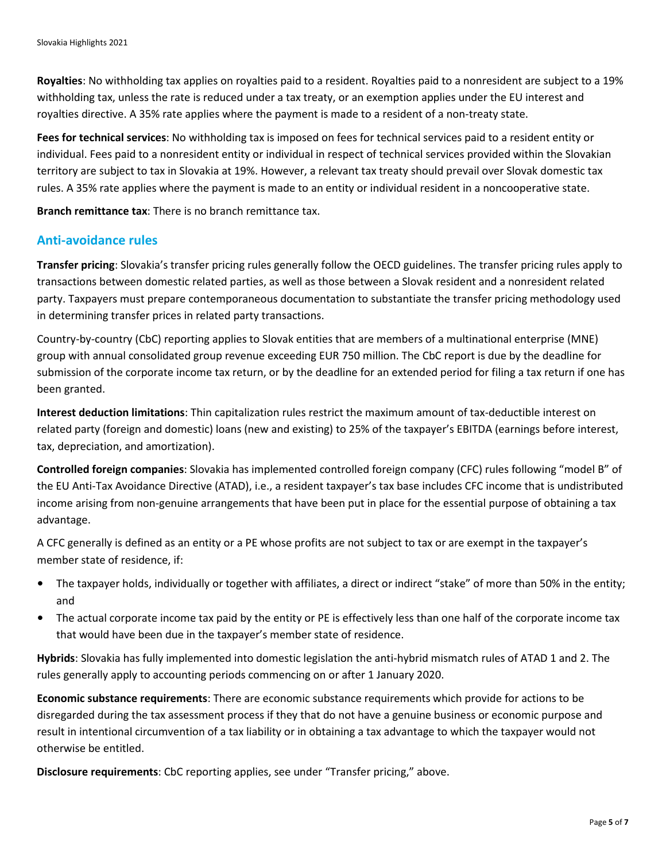**Royalties**: No withholding tax applies on royalties paid to a resident. Royalties paid to a nonresident are subject to a 19% withholding tax, unless the rate is reduced under a tax treaty, or an exemption applies under the EU interest and royalties directive. A 35% rate applies where the payment is made to a resident of a non-treaty state.

**Fees for technical services**: No withholding tax is imposed on fees for technical services paid to a resident entity or individual. Fees paid to a nonresident entity or individual in respect of technical services provided within the Slovakian territory are subject to tax in Slovakia at 19%. However, a relevant tax treaty should prevail over Slovak domestic tax rules. A 35% rate applies where the payment is made to an entity or individual resident in a noncooperative state.

**Branch remittance tax**: There is no branch remittance tax.

#### **Anti-avoidance rules**

**Transfer pricing**: Slovakia's transfer pricing rules generally follow the OECD guidelines. The transfer pricing rules apply to transactions between domestic related parties, as well as those between a Slovak resident and a nonresident related party. Taxpayers must prepare contemporaneous documentation to substantiate the transfer pricing methodology used in determining transfer prices in related party transactions.

Country-by-country (CbC) reporting applies to Slovak entities that are members of a multinational enterprise (MNE) group with annual consolidated group revenue exceeding EUR 750 million. The CbC report is due by the deadline for submission of the corporate income tax return, or by the deadline for an extended period for filing a tax return if one has been granted.

**Interest deduction limitations**: Thin capitalization rules restrict the maximum amount of tax-deductible interest on related party (foreign and domestic) loans (new and existing) to 25% of the taxpayer's EBITDA (earnings before interest, tax, depreciation, and amortization).

**Controlled foreign companies**: Slovakia has implemented controlled foreign company (CFC) rules following "model B" of the EU Anti-Tax Avoidance Directive (ATAD), i.e., a resident taxpayer's tax base includes CFC income that is undistributed income arising from non-genuine arrangements that have been put in place for the essential purpose of obtaining a tax advantage.

A CFC generally is defined as an entity or a PE whose profits are not subject to tax or are exempt in the taxpayer's member state of residence, if:

- The taxpayer holds, individually or together with affiliates, a direct or indirect "stake" of more than 50% in the entity; and
- The actual corporate income tax paid by the entity or PE is effectively less than one half of the corporate income tax that would have been due in the taxpayer's member state of residence.

**Hybrids**: Slovakia has fully implemented into domestic legislation the anti-hybrid mismatch rules of ATAD 1 and 2. The rules generally apply to accounting periods commencing on or after 1 January 2020.

**Economic substance requirements**: There are economic substance requirements which provide for actions to be disregarded during the tax assessment process if they that do not have a genuine business or economic purpose and result in intentional circumvention of a tax liability or in obtaining a tax advantage to which the taxpayer would not otherwise be entitled.

**Disclosure requirements**: CbC reporting applies, see under "Transfer pricing," above.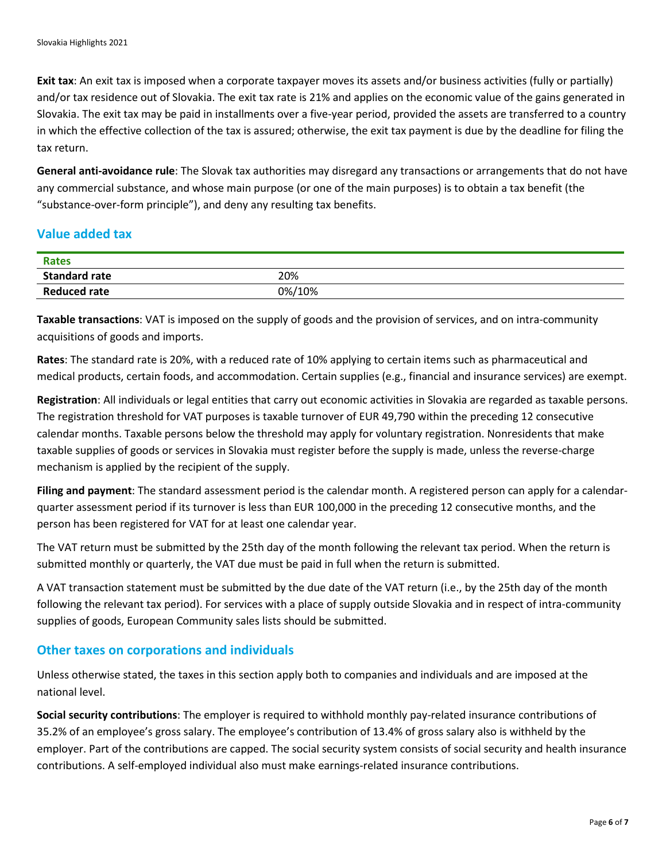**Exit tax**: An exit tax is imposed when a corporate taxpayer moves its assets and/or business activities (fully or partially) and/or tax residence out of Slovakia. The exit tax rate is 21% and applies on the economic value of the gains generated in Slovakia. The exit tax may be paid in installments over a five-year period, provided the assets are transferred to a country in which the effective collection of the tax is assured; otherwise, the exit tax payment is due by the deadline for filing the tax return.

**General anti-avoidance rule**: The Slovak tax authorities may disregard any transactions or arrangements that do not have any commercial substance, and whose main purpose (or one of the main purposes) is to obtain a tax benefit (the "substance-over-form principle"), and deny any resulting tax benefits.

## **Value added tax**

| <b>Rates</b>         |        |
|----------------------|--------|
| <b>Standard rate</b> | 20%    |
| <b>Reduced rate</b>  | 0%/10% |

**Taxable transactions**: VAT is imposed on the supply of goods and the provision of services, and on intra-community acquisitions of goods and imports.

**Rates**: The standard rate is 20%, with a reduced rate of 10% applying to certain items such as pharmaceutical and medical products, certain foods, and accommodation. Certain supplies (e.g., financial and insurance services) are exempt.

**Registration**: All individuals or legal entities that carry out economic activities in Slovakia are regarded as taxable persons. The registration threshold for VAT purposes is taxable turnover of EUR 49,790 within the preceding 12 consecutive calendar months. Taxable persons below the threshold may apply for voluntary registration. Nonresidents that make taxable supplies of goods or services in Slovakia must register before the supply is made, unless the reverse-charge mechanism is applied by the recipient of the supply.

**Filing and payment**: The standard assessment period is the calendar month. A registered person can apply for a calendarquarter assessment period if its turnover is less than EUR 100,000 in the preceding 12 consecutive months, and the person has been registered for VAT for at least one calendar year.

The VAT return must be submitted by the 25th day of the month following the relevant tax period. When the return is submitted monthly or quarterly, the VAT due must be paid in full when the return is submitted.

A VAT transaction statement must be submitted by the due date of the VAT return (i.e., by the 25th day of the month following the relevant tax period). For services with a place of supply outside Slovakia and in respect of intra-community supplies of goods, European Community sales lists should be submitted.

#### **Other taxes on corporations and individuals**

Unless otherwise stated, the taxes in this section apply both to companies and individuals and are imposed at the national level.

**Social security contributions**: The employer is required to withhold monthly pay-related insurance contributions of 35.2% of an employee's gross salary. The employee's contribution of 13.4% of gross salary also is withheld by the employer. Part of the contributions are capped. The social security system consists of social security and health insurance contributions. A self-employed individual also must make earnings-related insurance contributions.